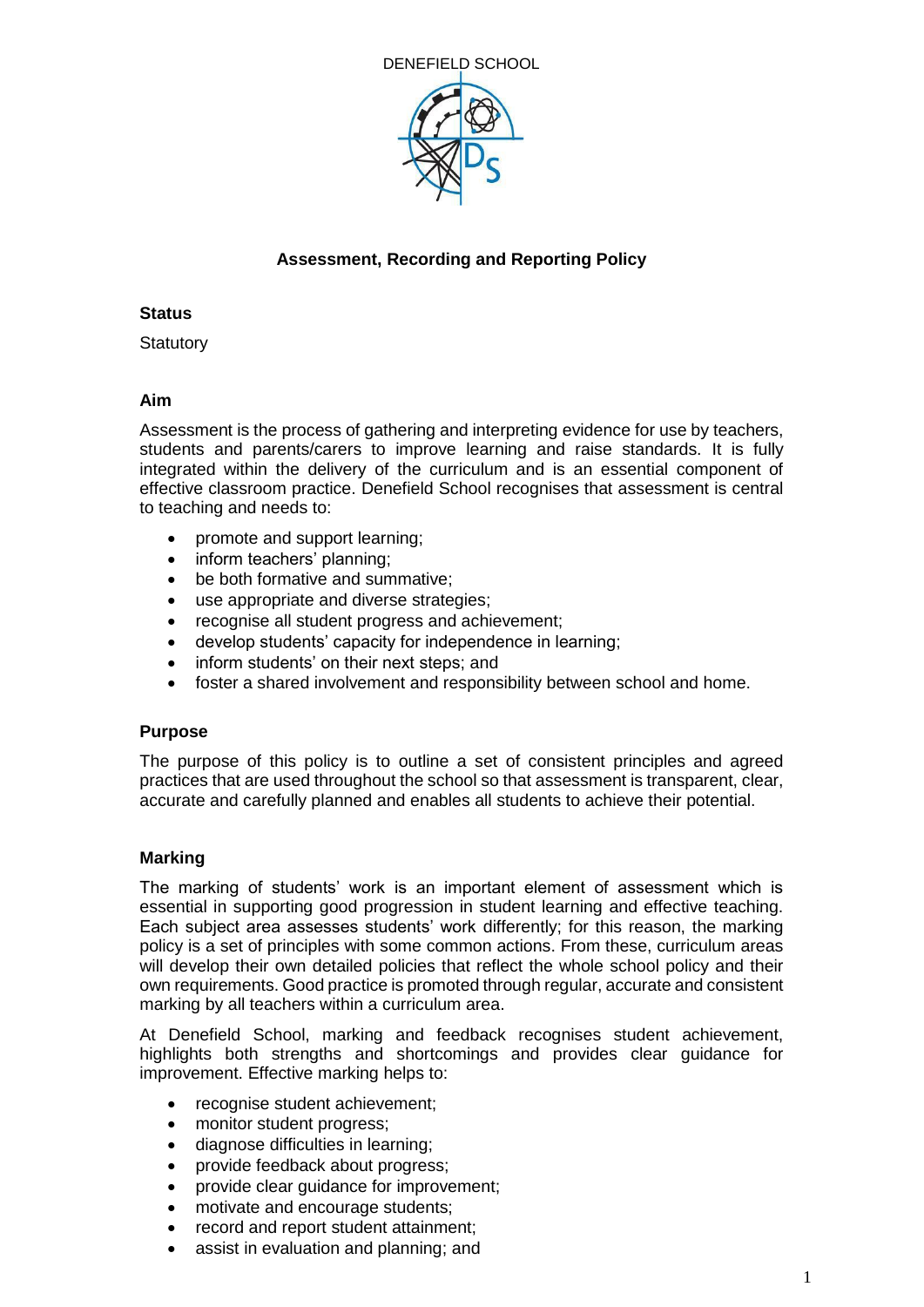

# **Assessment, Recording and Reporting Policy**

## **Status**

**Statutory** 

## **Aim**

Assessment is the process of gathering and interpreting evidence for use by teachers, students and parents/carers to improve learning and raise standards. It is fully integrated within the delivery of the curriculum and is an essential component of effective classroom practice. Denefield School recognises that assessment is central to teaching and needs to:

- promote and support learning;
- inform teachers' planning;
- be both formative and summative;
- use appropriate and diverse strategies;
- recognise all student progress and achievement;
- develop students' capacity for independence in learning;
- inform students' on their next steps; and
- foster a shared involvement and responsibility between school and home.

## **Purpose**

The purpose of this policy is to outline a set of consistent principles and agreed practices that are used throughout the school so that assessment is transparent, clear, accurate and carefully planned and enables all students to achieve their potential.

## **Marking**

The marking of students' work is an important element of assessment which is essential in supporting good progression in student learning and effective teaching. Each subject area assesses students' work differently; for this reason, the marking policy is a set of principles with some common actions. From these, curriculum areas will develop their own detailed policies that reflect the whole school policy and their own requirements. Good practice is promoted through regular, accurate and consistent marking by all teachers within a curriculum area.

At Denefield School, marking and feedback recognises student achievement, highlights both strengths and shortcomings and provides clear guidance for improvement. Effective marking helps to:

- recognise student achievement;
- monitor student progress;
- diagnose difficulties in learning;
- provide feedback about progress;
- provide clear guidance for improvement;
- motivate and encourage students;
- record and report student attainment;
- assist in evaluation and planning; and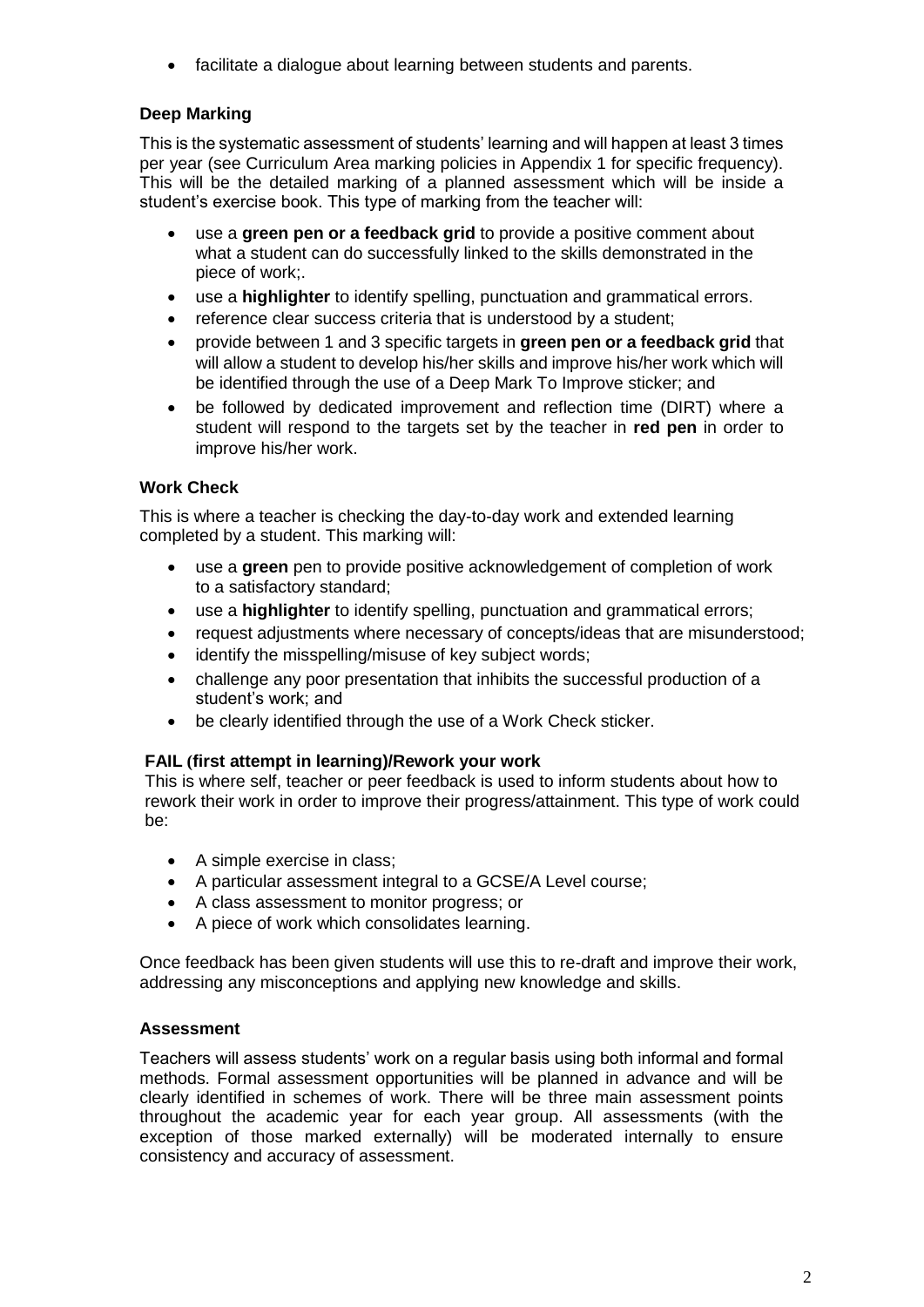facilitate a dialogue about learning between students and parents.

# **Deep Marking**

This is the systematic assessment of students' learning and will happen at least 3 times per year (see Curriculum Area marking policies in Appendix 1 for specific frequency). This will be the detailed marking of a planned assessment which will be inside a student's exercise book. This type of marking from the teacher will:

- use a **green pen or a feedback grid** to provide a positive comment about what a student can do successfully linked to the skills demonstrated in the piece of work;.
- use a **highlighter** to identify spelling, punctuation and grammatical errors.
- reference clear success criteria that is understood by a student;
- provide between 1 and 3 specific targets in **green pen or a feedback grid** that will allow a student to develop his/her skills and improve his/her work which will be identified through the use of a Deep Mark To Improve sticker; and
- be followed by dedicated improvement and reflection time (DIRT) where a student will respond to the targets set by the teacher in **red pen** in order to improve his/her work.

# **Work Check**

This is where a teacher is checking the day-to-day work and extended learning completed by a student. This marking will:

- use a **green** pen to provide positive acknowledgement of completion of work to a satisfactory standard;
- use a **highlighter** to identify spelling, punctuation and grammatical errors;
- request adjustments where necessary of concepts/ideas that are misunderstood;
- identify the misspelling/misuse of key subject words;
- challenge any poor presentation that inhibits the successful production of a student's work; and
- be clearly identified through the use of a Work Check sticker.

## **FAIL (first attempt in learning)/Rework your work**

This is where self, teacher or peer feedback is used to inform students about how to rework their work in order to improve their progress/attainment. This type of work could be:

- A simple exercise in class;
- A particular assessment integral to a GCSE/A Level course;
- A class assessment to monitor progress; or
- A piece of work which consolidates learning.

Once feedback has been given students will use this to re-draft and improve their work, addressing any misconceptions and applying new knowledge and skills.

## **Assessment**

Teachers will assess students' work on a regular basis using both informal and formal methods. Formal assessment opportunities will be planned in advance and will be clearly identified in schemes of work. There will be three main assessment points throughout the academic year for each year group. All assessments (with the exception of those marked externally) will be moderated internally to ensure consistency and accuracy of assessment.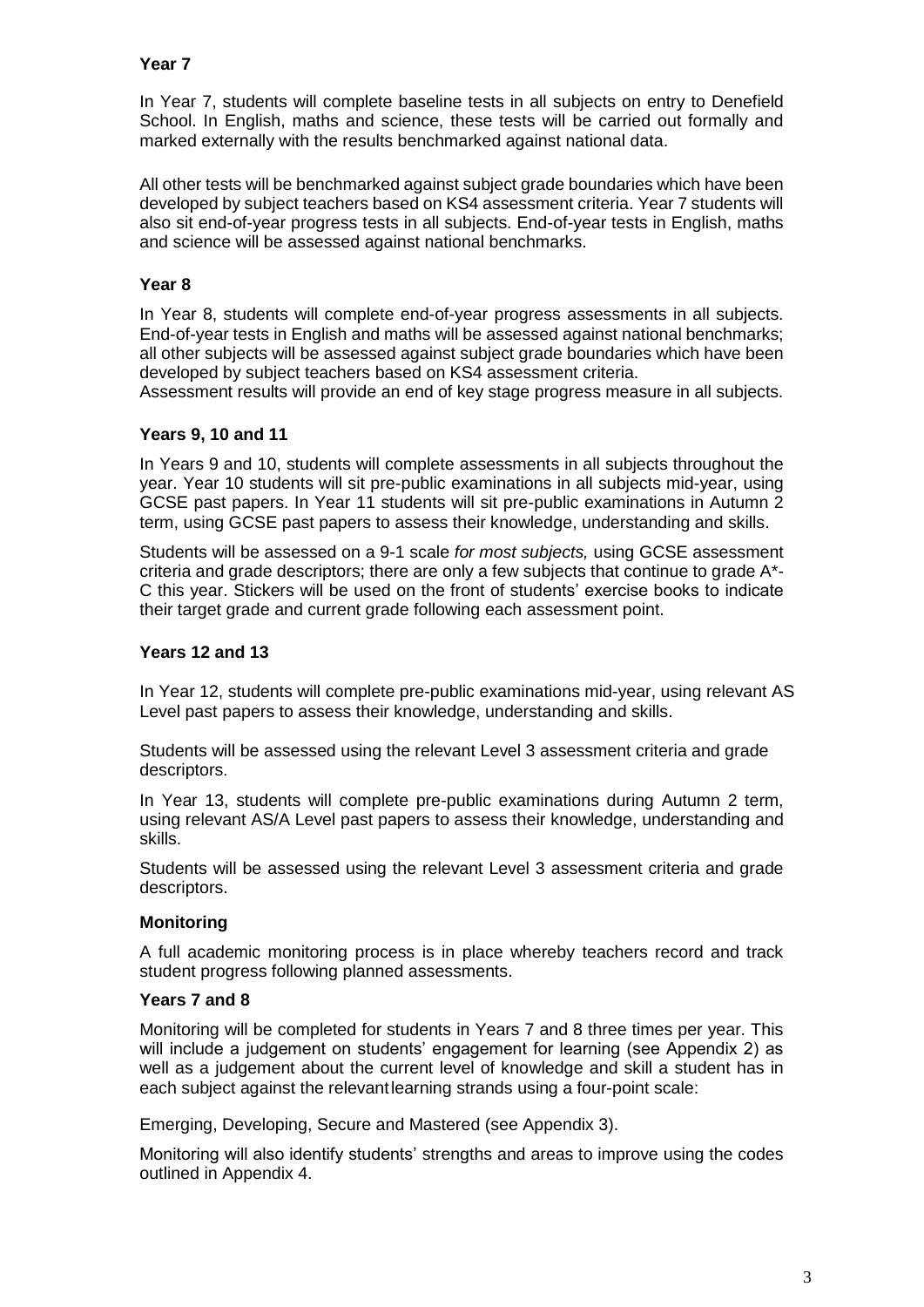## **Year 7**

In Year 7, students will complete baseline tests in all subjects on entry to Denefield School. In English, maths and science, these tests will be carried out formally and marked externally with the results benchmarked against national data.

All other tests will be benchmarked against subject grade boundaries which have been developed by subject teachers based on KS4 assessment criteria. Year 7 students will also sit end-of-year progress tests in all subjects. End-of-year tests in English, maths and science will be assessed against national benchmarks.

## **Year 8**

In Year 8, students will complete end-of-year progress assessments in all subjects. End-of-year tests in English and maths will be assessed against national benchmarks; all other subjects will be assessed against subject grade boundaries which have been developed by subject teachers based on KS4 assessment criteria.

Assessment results will provide an end of key stage progress measure in all subjects.

## **Years 9, 10 and 11**

In Years 9 and 10, students will complete assessments in all subjects throughout the year. Year 10 students will sit pre-public examinations in all subjects mid-year, using GCSE past papers. In Year 11 students will sit pre-public examinations in Autumn 2 term, using GCSE past papers to assess their knowledge, understanding and skills.

Students will be assessed on a 9-1 scale *for most subjects,* using GCSE assessment criteria and grade descriptors; there are only a few subjects that continue to grade A\*- C this year. Stickers will be used on the front of students' exercise books to indicate their target grade and current grade following each assessment point.

## **Years 12 and 13**

In Year 12, students will complete pre-public examinations mid-year, using relevant AS Level past papers to assess their knowledge, understanding and skills.

Students will be assessed using the relevant Level 3 assessment criteria and grade descriptors.

In Year 13, students will complete pre-public examinations during Autumn 2 term, using relevant AS/A Level past papers to assess their knowledge, understanding and skills.

Students will be assessed using the relevant Level 3 assessment criteria and grade descriptors.

## **Monitoring**

A full academic monitoring process is in place whereby teachers record and track student progress following planned assessments.

## **Years 7 and 8**

Monitoring will be completed for students in Years 7 and 8 three times per year. This will include a judgement on students' engagement for learning (see Appendix 2) as well as a judgement about the current level of knowledge and skill a student has in each subject against the relevantlearning strands using a four-point scale:

Emerging, Developing, Secure and Mastered (see Appendix 3).

Monitoring will also identify students' strengths and areas to improve using the codes outlined in Appendix 4.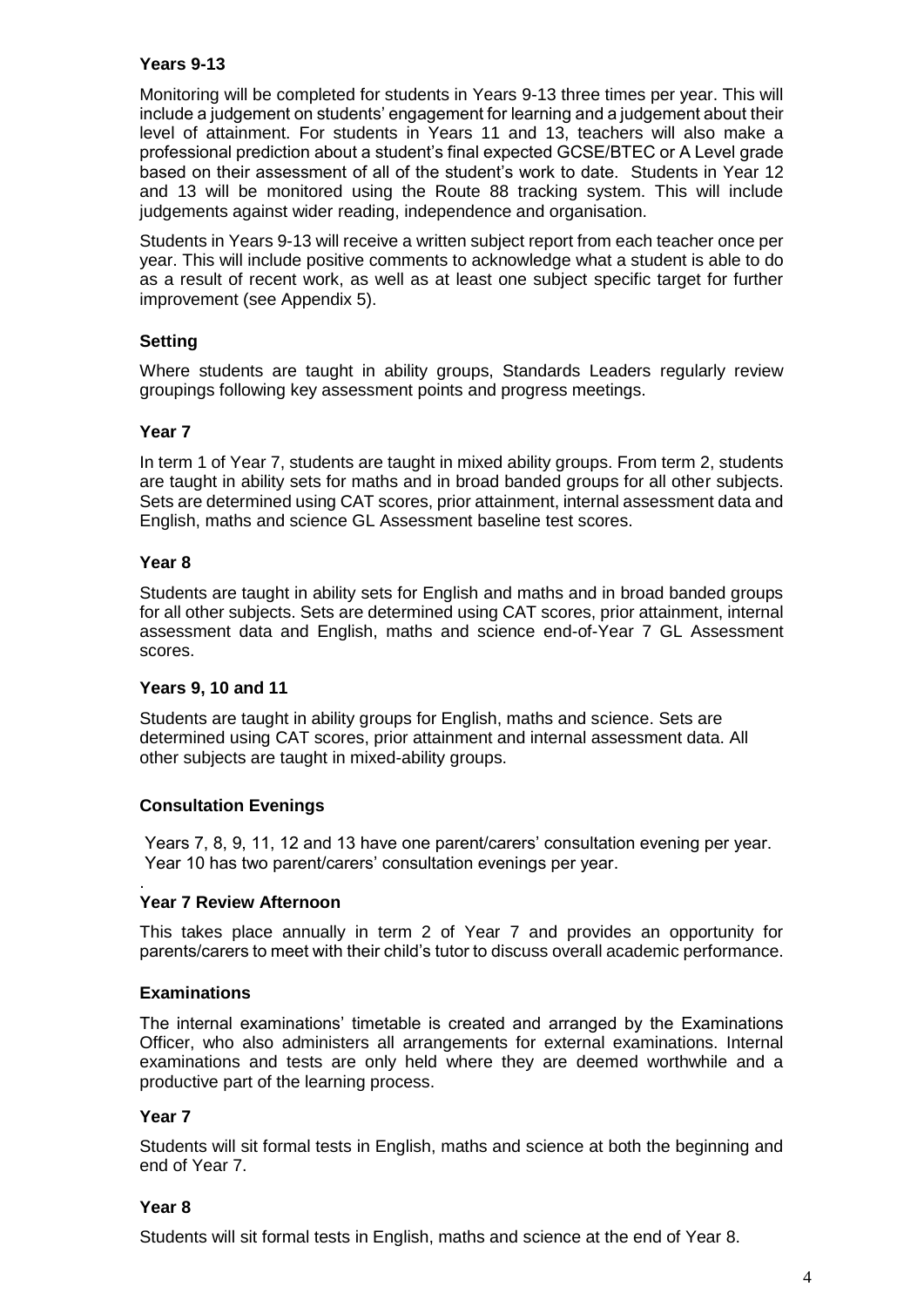## **Years 9-13**

Monitoring will be completed for students in Years 9-13 three times per year. This will include a judgement on students' engagement for learning and a judgement about their level of attainment. For students in Years 11 and 13, teachers will also make a professional prediction about a student's final expected GCSE/BTEC or A Level grade based on their assessment of all of the student's work to date. Students in Year 12 and 13 will be monitored using the Route 88 tracking system. This will include judgements against wider reading, independence and organisation.

Students in Years 9-13 will receive a written subject report from each teacher once per year. This will include positive comments to acknowledge what a student is able to do as a result of recent work, as well as at least one subject specific target for further improvement (see Appendix 5).

## **Setting**

Where students are taught in ability groups, Standards Leaders regularly review groupings following key assessment points and progress meetings.

## **Year 7**

In term 1 of Year 7, students are taught in mixed ability groups. From term 2, students are taught in ability sets for maths and in broad banded groups for all other subjects. Sets are determined using CAT scores, prior attainment, internal assessment data and English, maths and science GL Assessment baseline test scores.

### **Year 8**

Students are taught in ability sets for English and maths and in broad banded groups for all other subjects. Sets are determined using CAT scores, prior attainment, internal assessment data and English, maths and science end-of-Year 7 GL Assessment scores.

### **Years 9, 10 and 11**

Students are taught in ability groups for English, maths and science. Sets are determined using CAT scores, prior attainment and internal assessment data. All other subjects are taught in mixed-ability groups.

## **Consultation Evenings**

Years 7, 8, 9, 11, 12 and 13 have one parent/carers' consultation evening per year. Year 10 has two parent/carers' consultation evenings per year.

#### . **Year 7 Review Afternoon**

This takes place annually in term 2 of Year 7 and provides an opportunity for parents/carers to meet with their child's tutor to discuss overall academic performance.

### **Examinations**

The internal examinations' timetable is created and arranged by the Examinations Officer, who also administers all arrangements for external examinations. Internal examinations and tests are only held where they are deemed worthwhile and a productive part of the learning process.

#### **Year 7**

Students will sit formal tests in English, maths and science at both the beginning and end of Year 7.

#### **Year 8**

Students will sit formal tests in English, maths and science at the end of Year 8.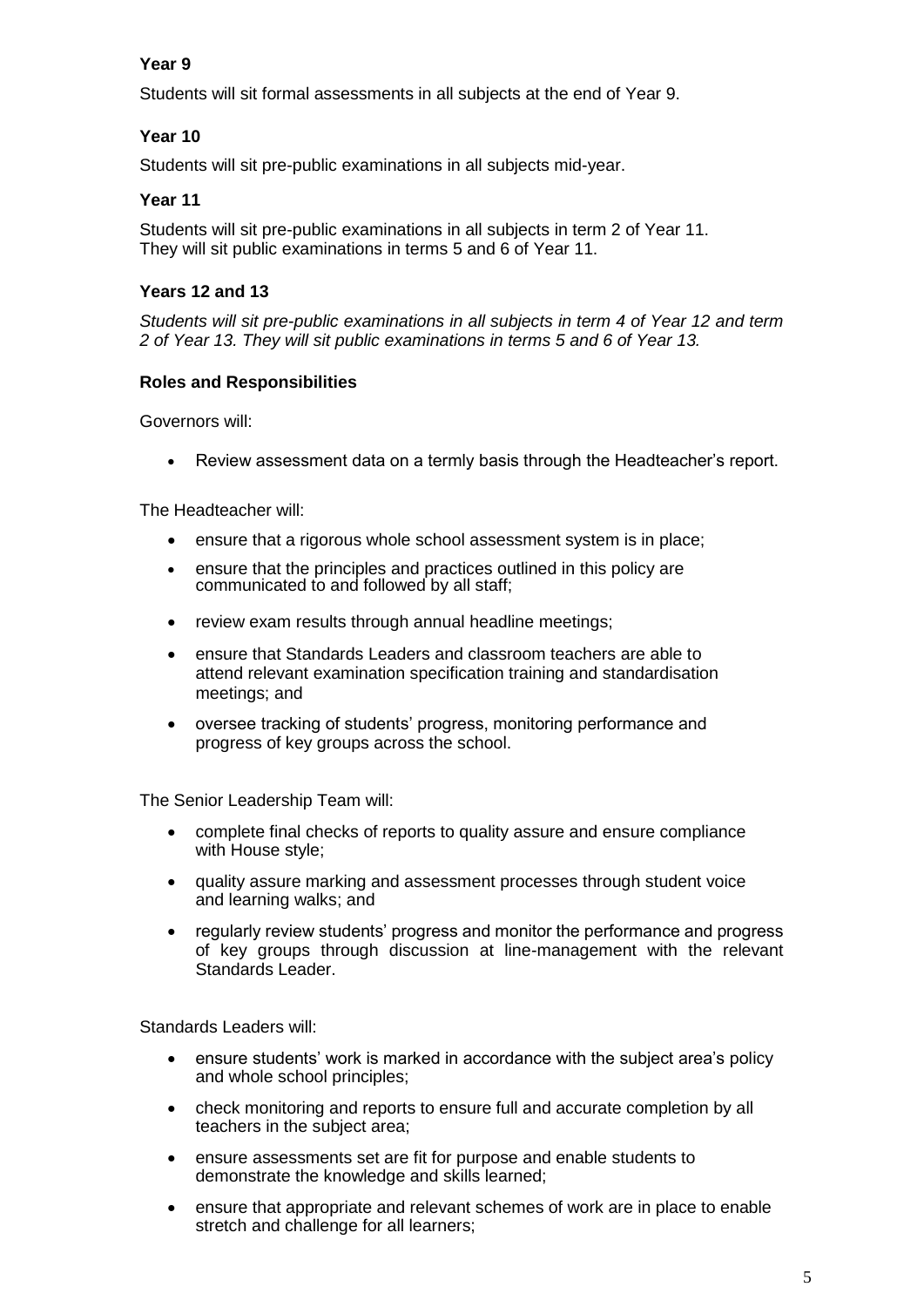# **Year 9**

Students will sit formal assessments in all subjects at the end of Year 9.

# **Year 10**

Students will sit pre-public examinations in all subjects mid-year.

## **Year 11**

Students will sit pre-public examinations in all subjects in term 2 of Year 11. They will sit public examinations in terms 5 and 6 of Year 11.

## **Years 12 and 13**

*Students will sit pre-public examinations in all subjects in term 4 of Year 12 and term 2 of Year 13. They will sit public examinations in terms 5 and 6 of Year 13.*

## **Roles and Responsibilities**

Governors will:

Review assessment data on a termly basis through the Headteacher's report.

The Headteacher will:

- ensure that a rigorous whole school assessment system is in place;
- ensure that the principles and practices outlined in this policy are communicated to and followed by all staff;
- review exam results through annual headline meetings:
- ensure that Standards Leaders and classroom teachers are able to attend relevant examination specification training and standardisation meetings; and
- oversee tracking of students' progress, monitoring performance and progress of key groups across the school.

The Senior Leadership Team will:

- complete final checks of reports to quality assure and ensure compliance with House style;
- quality assure marking and assessment processes through student voice and learning walks; and
- regularly review students' progress and monitor the performance and progress of key groups through discussion at line-management with the relevant Standards Leader.

Standards Leaders will:

- ensure students' work is marked in accordance with the subject area's policy and whole school principles;
- check monitoring and reports to ensure full and accurate completion by all teachers in the subject area;
- ensure assessments set are fit for purpose and enable students to demonstrate the knowledge and skills learned;
- ensure that appropriate and relevant schemes of work are in place to enable stretch and challenge for all learners;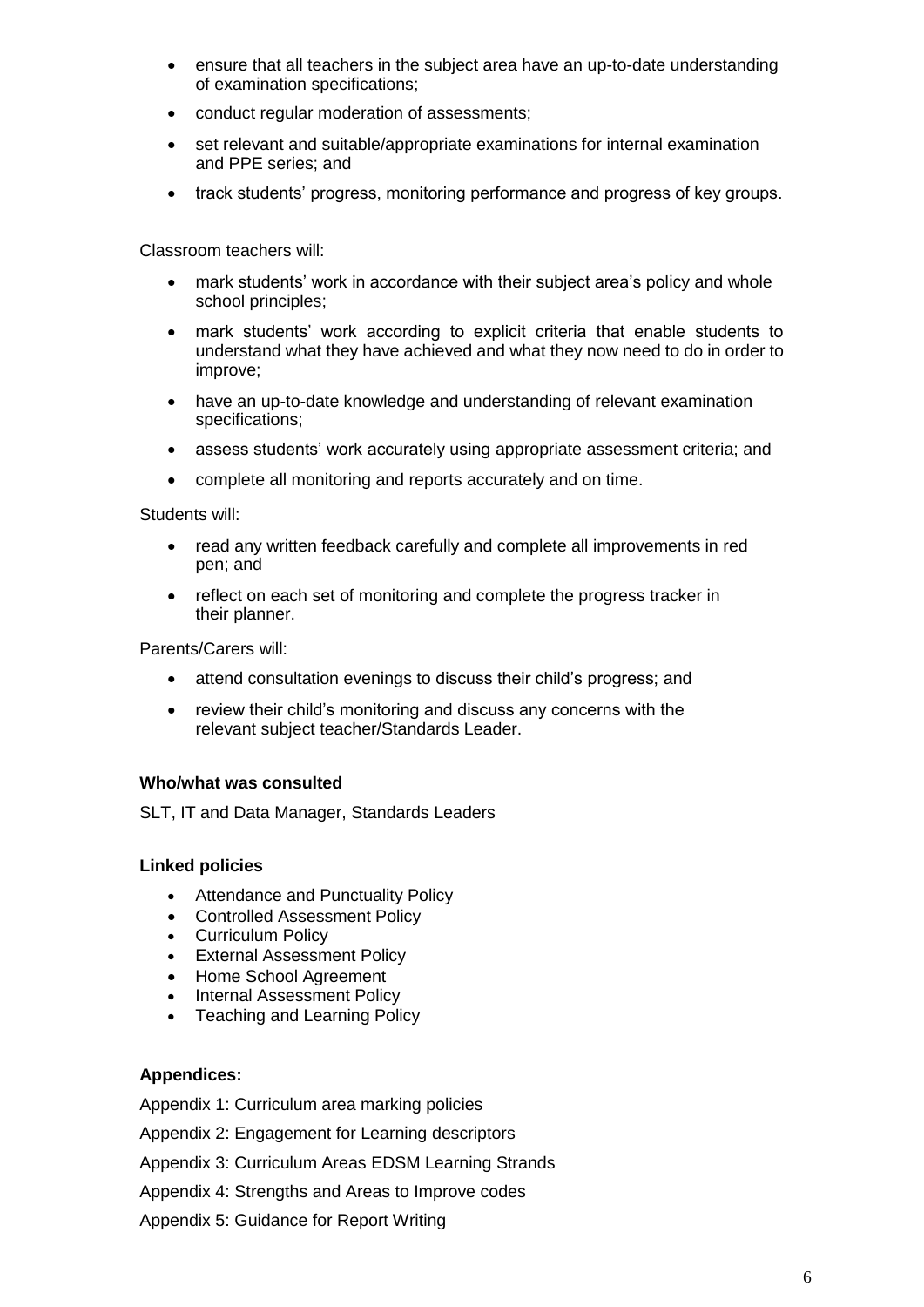- ensure that all teachers in the subject area have an up-to-date understanding of examination specifications;
- conduct regular moderation of assessments;
- set relevant and suitable/appropriate examinations for internal examination and PPE series; and
- track students' progress, monitoring performance and progress of key groups.

Classroom teachers will:

- mark students' work in accordance with their subject area's policy and whole school principles;
- mark students' work according to explicit criteria that enable students to understand what they have achieved and what they now need to do in order to improve;
- have an up-to-date knowledge and understanding of relevant examination specifications;
- assess students' work accurately using appropriate assessment criteria; and
- complete all monitoring and reports accurately and on time.

Students will:

- read any written feedback carefully and complete all improvements in red pen; and
- reflect on each set of monitoring and complete the progress tracker in their planner.

Parents/Carers will:

- attend consultation evenings to discuss their child's progress; and
- review their child's monitoring and discuss any concerns with the relevant subject teacher/Standards Leader.

## **Who/what was consulted**

SLT, IT and Data Manager, Standards Leaders

## **Linked policies**

- Attendance and Punctuality Policy
- Controlled Assessment Policy
- Curriculum Policy
- External Assessment Policy
- Home School Agreement
- Internal Assessment Policy
- Teaching and Learning Policy

## **Appendices:**

Appendix 1: Curriculum area marking policies

Appendix 2: Engagement for Learning descriptors

Appendix 3: Curriculum Areas EDSM Learning Strands

Appendix 4: Strengths and Areas to Improve codes

Appendix 5: Guidance for Report Writing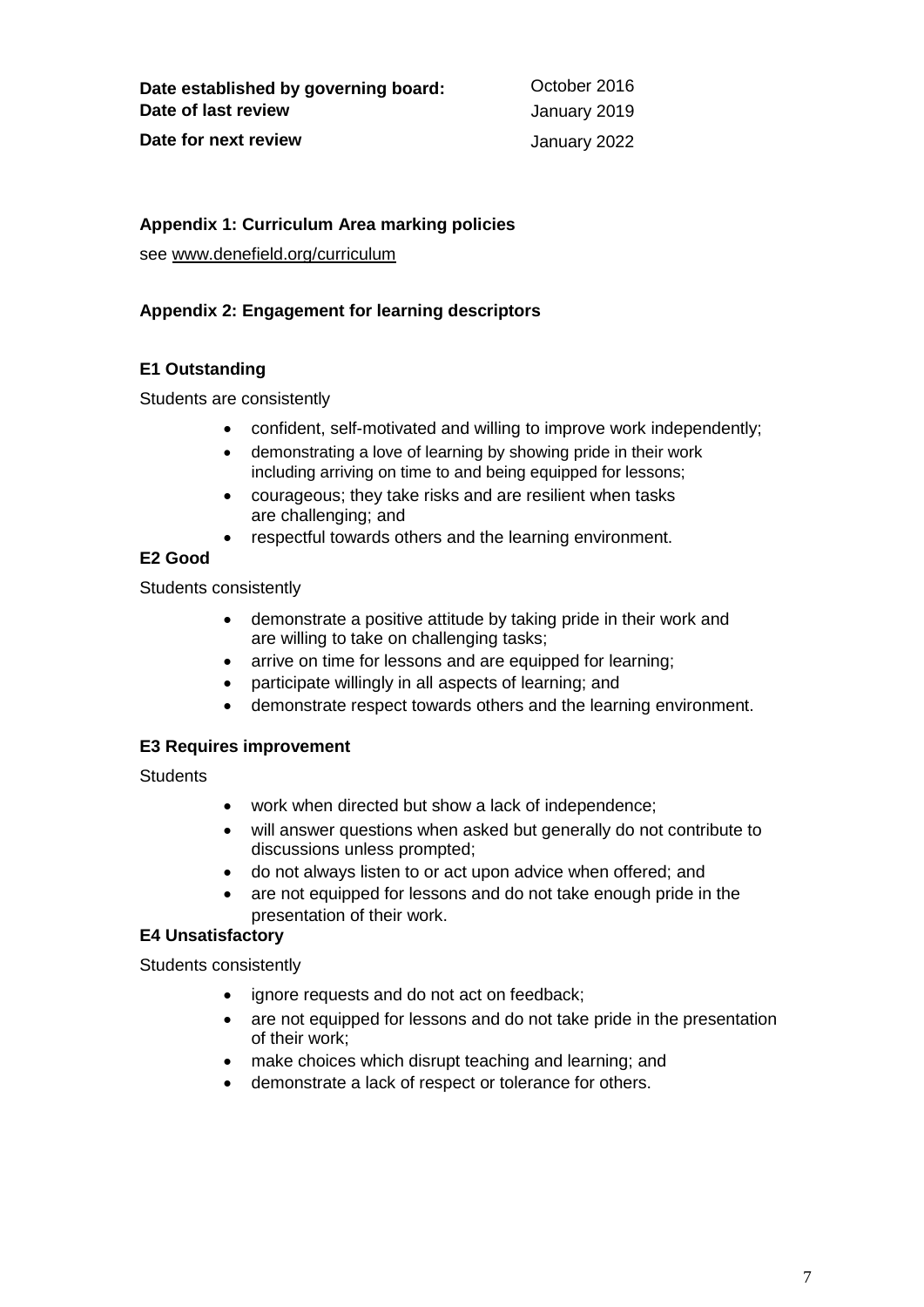## **Appendix 1: Curriculum Area marking policies**

see [www.denefield.org/curriculum](http://www.denefield.org/curriculum)

## **Appendix 2: Engagement for learning descriptors**

## **E1 Outstanding**

Students are consistently

- confident, self-motivated and willing to improve work independently;
- demonstrating a love of learning by showing pride in their work including arriving on time to and being equipped for lessons;
- courageous; they take risks and are resilient when tasks are challenging; and
- respectful towards others and the learning environment.

# **E2 Good**

Students consistently

- demonstrate a positive attitude by taking pride in their work and are willing to take on challenging tasks;
- arrive on time for lessons and are equipped for learning;
- participate willingly in all aspects of learning; and
- demonstrate respect towards others and the learning environment.

# **E3 Requires improvement**

**Students** 

- work when directed but show a lack of independence;
- will answer questions when asked but generally do not contribute to discussions unless prompted;
- do not always listen to or act upon advice when offered; and
- are not equipped for lessons and do not take enough pride in the presentation of their work.

# **E4 Unsatisfactory**

Students consistently

- ignore requests and do not act on feedback;
- are not equipped for lessons and do not take pride in the presentation of their work;
- make choices which disrupt teaching and learning; and
- demonstrate a lack of respect or tolerance for others.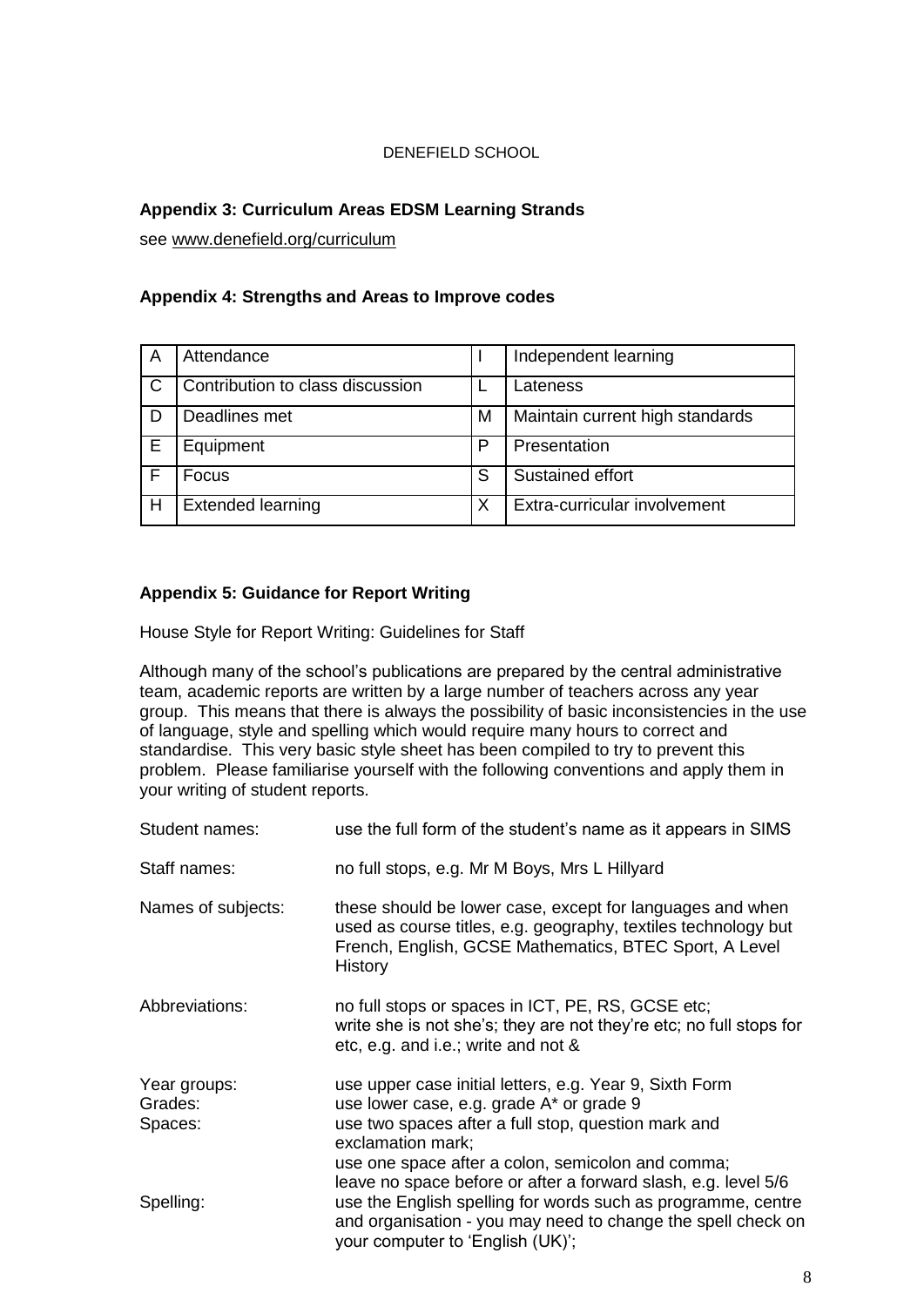## DENEFIELD SCHOOL

## **Appendix 3: Curriculum Areas EDSM Learning Strands**

see [www.denefield.org/curriculum](http://www.denefield.org/curriculum)

## **Appendix 4: Strengths and Areas to Improve codes**

| A | Attendance                       |   | Independent learning            |
|---|----------------------------------|---|---------------------------------|
|   | Contribution to class discussion |   | Lateness                        |
|   | Deadlines met                    | M | Maintain current high standards |
| F | Equipment                        | P | Presentation                    |
|   | Focus                            | S | Sustained effort                |
| Н | <b>Extended learning</b>         | X | Extra-curricular involvement    |

## **Appendix 5: Guidance for Report Writing**

House Style for Report Writing: Guidelines for Staff

Although many of the school's publications are prepared by the central administrative team, academic reports are written by a large number of teachers across any year group. This means that there is always the possibility of basic inconsistencies in the use of language, style and spelling which would require many hours to correct and standardise. This very basic style sheet has been compiled to try to prevent this problem. Please familiarise yourself with the following conventions and apply them in your writing of student reports.

| Student names:                     | use the full form of the student's name as it appears in SIMS                                                                                                                                                                                                                                          |  |  |
|------------------------------------|--------------------------------------------------------------------------------------------------------------------------------------------------------------------------------------------------------------------------------------------------------------------------------------------------------|--|--|
| Staff names:                       | no full stops, e.g. Mr M Boys, Mrs L Hillyard                                                                                                                                                                                                                                                          |  |  |
| Names of subjects:                 | these should be lower case, except for languages and when<br>used as course titles, e.g. geography, textiles technology but<br>French, English, GCSE Mathematics, BTEC Sport, A Level<br>History                                                                                                       |  |  |
| Abbreviations:                     | no full stops or spaces in ICT, PE, RS, GCSE etc;<br>write she is not she's; they are not they're etc; no full stops for<br>etc, e.g. and i.e.; write and not &                                                                                                                                        |  |  |
| Year groups:<br>Grades:<br>Spaces: | use upper case initial letters, e.g. Year 9, Sixth Form<br>use lower case, e.g. grade A* or grade 9<br>use two spaces after a full stop, question mark and<br>exclamation mark;<br>use one space after a colon, semicolon and comma;<br>leave no space before or after a forward slash, e.g. level 5/6 |  |  |
| Spelling:                          | use the English spelling for words such as programme, centre<br>and organisation - you may need to change the spell check on<br>your computer to 'English (UK)';                                                                                                                                       |  |  |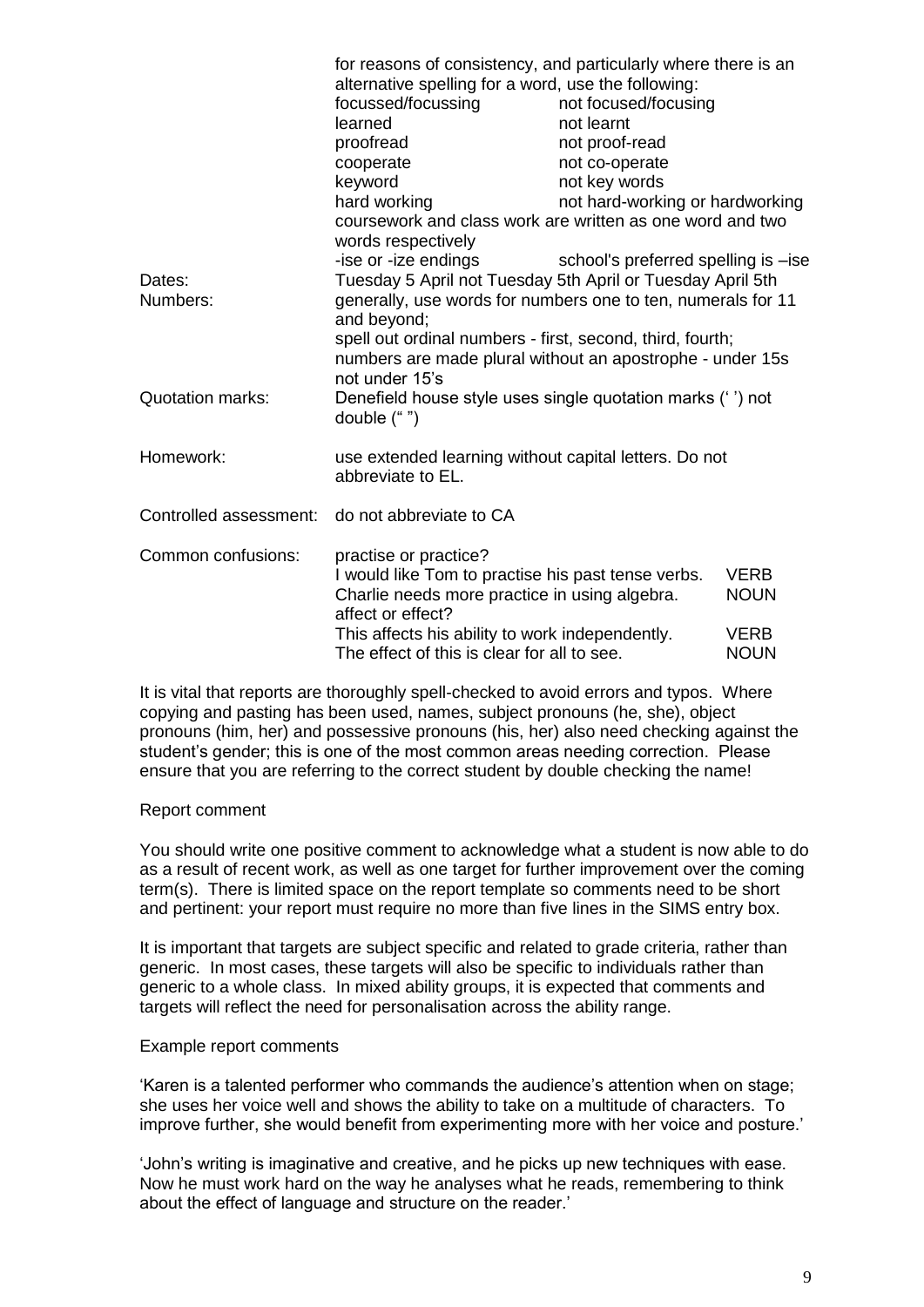|                         | for reasons of consistency, and particularly where there is an                  |                                     |                                 |  |  |
|-------------------------|---------------------------------------------------------------------------------|-------------------------------------|---------------------------------|--|--|
|                         | alternative spelling for a word, use the following:                             |                                     |                                 |  |  |
|                         | focussed/focussing                                                              | not focused/focusing                |                                 |  |  |
|                         | learned                                                                         | not learnt                          |                                 |  |  |
|                         | proofread                                                                       | not proof-read                      |                                 |  |  |
|                         | cooperate                                                                       | not co-operate                      |                                 |  |  |
|                         | keyword                                                                         | not key words                       |                                 |  |  |
|                         | hard working                                                                    |                                     | not hard-working or hardworking |  |  |
|                         | coursework and class work are written as one word and two<br>words respectively |                                     |                                 |  |  |
|                         | -ise or -ize endings                                                            | school's preferred spelling is -ise |                                 |  |  |
| Dates:                  | Tuesday 5 April not Tuesday 5th April or Tuesday April 5th                      |                                     |                                 |  |  |
| Numbers:                | generally, use words for numbers one to ten, numerals for 11<br>and beyond;     |                                     |                                 |  |  |
|                         | spell out ordinal numbers - first, second, third, fourth;                       |                                     |                                 |  |  |
|                         | numbers are made plural without an apostrophe - under 15s                       |                                     |                                 |  |  |
|                         | not under 15's                                                                  |                                     |                                 |  |  |
| <b>Quotation marks:</b> | Denefield house style uses single quotation marks ('') not<br>double ("")       |                                     |                                 |  |  |
| Homework:               | use extended learning without capital letters. Do not<br>abbreviate to EL.      |                                     |                                 |  |  |
| Controlled assessment:  | do not abbreviate to CA                                                         |                                     |                                 |  |  |
| Common confusions:      | practise or practice?                                                           |                                     |                                 |  |  |
|                         | I would like Tom to practise his past tense verbs.                              |                                     | <b>VERB</b>                     |  |  |
|                         | Charlie needs more practice in using algebra.<br>affect or effect?              |                                     | <b>NOUN</b>                     |  |  |
|                         | This affects his ability to work independently.                                 |                                     | <b>VERB</b>                     |  |  |
|                         | The effect of this is clear for all to see.                                     |                                     | <b>NOUN</b>                     |  |  |

It is vital that reports are thoroughly spell-checked to avoid errors and typos. Where copying and pasting has been used, names, subject pronouns (he, she), object pronouns (him, her) and possessive pronouns (his, her) also need checking against the student's gender; this is one of the most common areas needing correction. Please ensure that you are referring to the correct student by double checking the name!

#### Report comment

You should write one positive comment to acknowledge what a student is now able to do as a result of recent work, as well as one target for further improvement over the coming term(s). There is limited space on the report template so comments need to be short and pertinent: your report must require no more than five lines in the SIMS entry box.

It is important that targets are subject specific and related to grade criteria, rather than generic. In most cases, these targets will also be specific to individuals rather than generic to a whole class. In mixed ability groups, it is expected that comments and targets will reflect the need for personalisation across the ability range.

#### Example report comments

'Karen is a talented performer who commands the audience's attention when on stage; she uses her voice well and shows the ability to take on a multitude of characters. To improve further, she would benefit from experimenting more with her voice and posture.'

'John's writing is imaginative and creative, and he picks up new techniques with ease. Now he must work hard on the way he analyses what he reads, remembering to think about the effect of language and structure on the reader.'